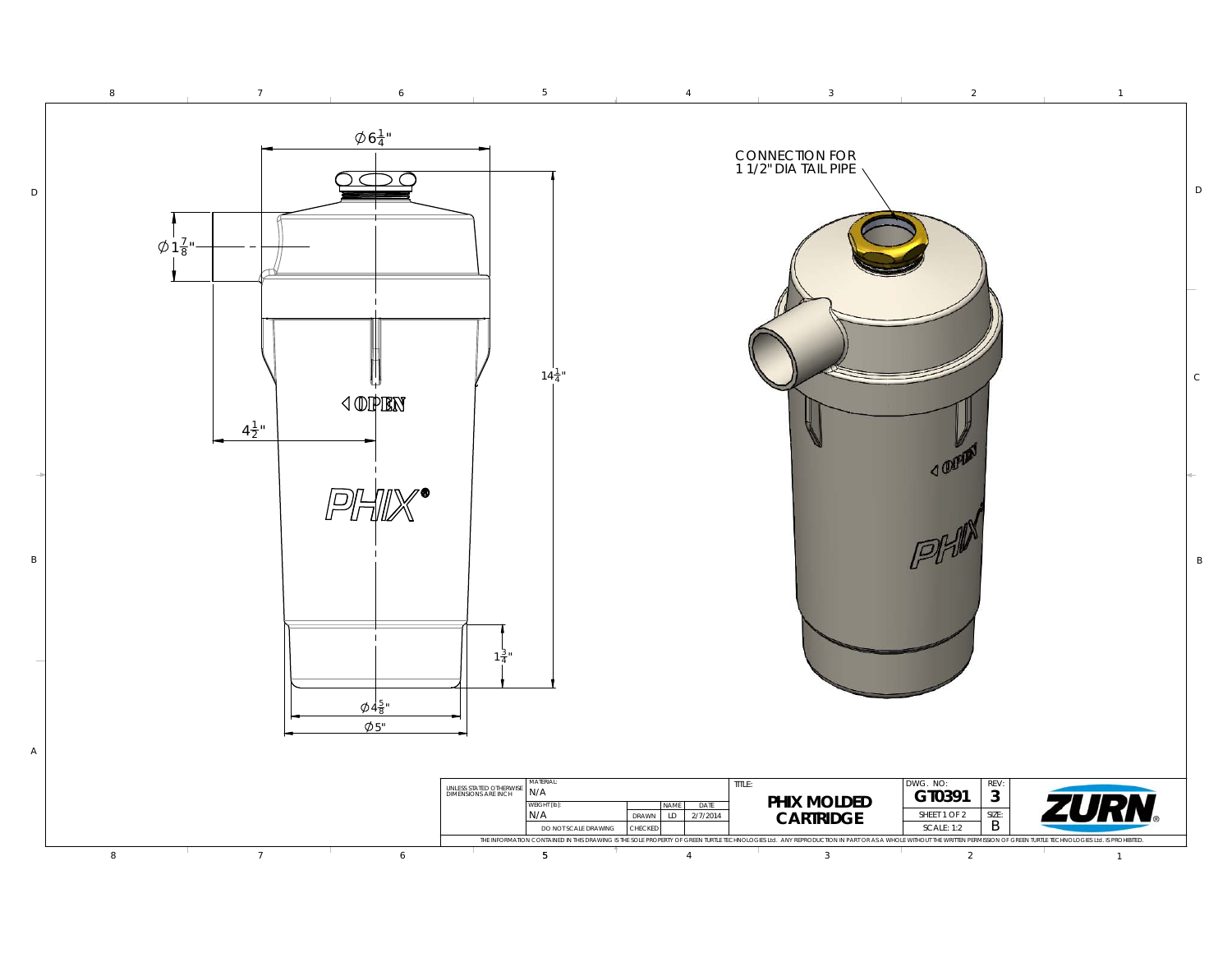